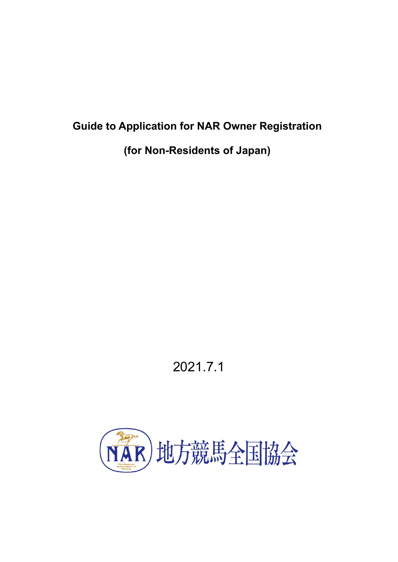# **Guide to Application for NAR Owner Registration**

**(for Non-Residents of Japan)** 

# 2021.7.1

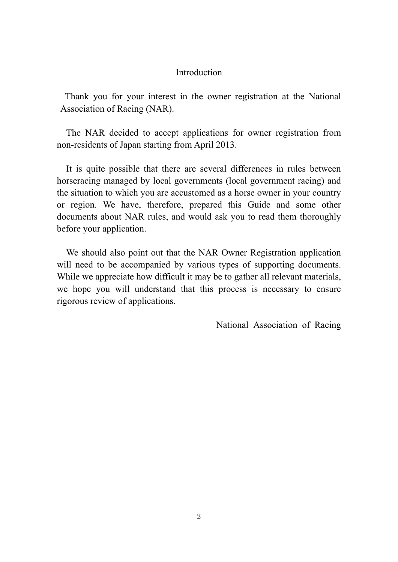# Introduction

Thank you for your interest in the owner registration at the National Association of Racing (NAR).

The NAR decided to accept applications for owner registration from non-residents of Japan starting from April 2013.

It is quite possible that there are several differences in rules between horseracing managed by local governments (local government racing) and the situation to which you are accustomed as a horse owner in your country or region. We have, therefore, prepared this Guide and some other documents about NAR rules, and would ask you to read them thoroughly before your application.

We should also point out that the NAR Owner Registration application will need to be accompanied by various types of supporting documents. While we appreciate how difficult it may be to gather all relevant materials, we hope you will understand that this process is necessary to ensure rigorous review of applications.

National Association of Racing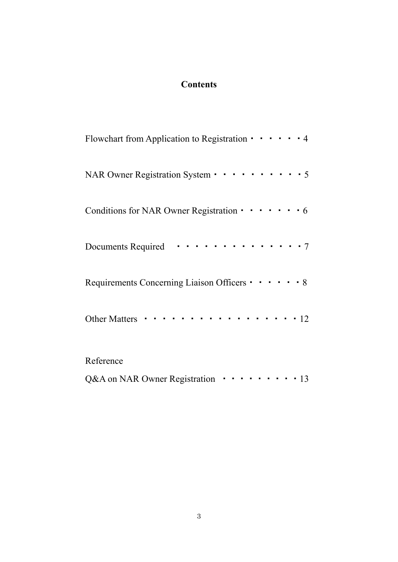# **Contents**

| Flowchart from Application to Registration $\cdots$ $\cdots$ $\cdots$ 4 |
|-------------------------------------------------------------------------|
| NAR Owner Registration System • • • • • • • • • • 5                     |
| Conditions for NAR Owner Registration · · · · · · · 6                   |
| . 7<br>Documents Required                                               |
| Requirements Concerning Liaison Officers • • • • • • 8                  |
| . 12<br><b>Other Matters</b>                                            |
| Reference                                                               |
| Q&A on NAR Owner Registration ···········13                             |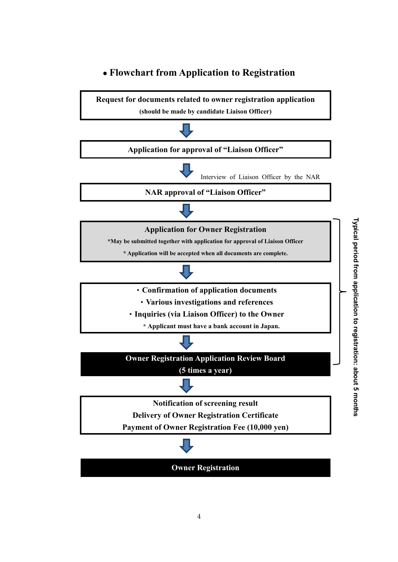# **● Flowchart from Application to Registration**

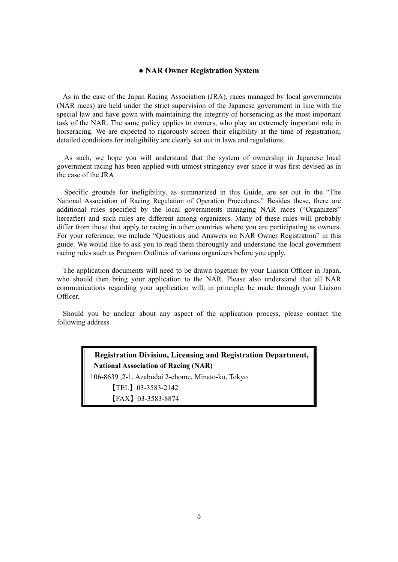#### **● NAR Owner Registration System**

As in the case of the Japan Racing Association (JRA), races managed by local governments (NAR races) are held under the strict supervision of the Japanese government in line with the special law and have gown with maintaining the integrity of horseracing as the most important task of the NAR. The same policy applies to owners, who play an extremely important role in horseracing. We are expected to rigorously screen their eligibility at the time of registration; detailed conditions for ineligibility are clearly set out in laws and regulations.

As such, we hope you will understand that the system of ownership in Japanese local government racing has been applied with utmost stringency ever since it was first devised as in the case of the JRA.

Specific grounds for ineligibility, as summarized in this Guide, are set out in the "The National Association of Racing Regulation of Operation Procedures." Besides these, there are additional rules specified by the local governments managing NAR races ("Organizers" hereafter) and such rules are different among organizers. Many of these rules will probably differ from those that apply to racing in other countries where you are participating as owners. For your reference, we include "Questions and Answers on NAR Owner Registration" in this guide. We would like to ask you to read them thoroughly and understand the local government racing rules such as Program Outlines of various organizers before you apply.

The application documents will need to be drawn together by your Liaison Officer in Japan, who should then bring your application to the NAR. Please also understand that all NAR communications regarding your application will, in principle, be made through your Liaison Officer.

Should you be unclear about any aspect of the application process, please contact the following address.

> **Registration Division, Licensing and Registration Department, National Association of Racing (NAR)**  106-8639 ,2-1, Azabudai 2-chome, Minato-ku, Tokyo 【TEL】03-3583-2142 【FAX】03-3583-8874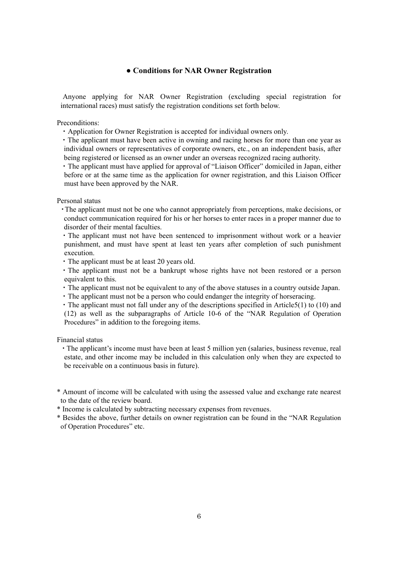#### **● Conditions for NAR Owner Registration**

Anyone applying for NAR Owner Registration (excluding special registration for international races) must satisfy the registration conditions set forth below.

Preconditions:

・Application for Owner Registration is accepted for individual owners only.

・The applicant must have been active in owning and racing horses for more than one year as individual owners or representatives of corporate owners, etc., on an independent basis, after being registered or licensed as an owner under an overseas recognized racing authority.

・The applicant must have applied for approval of "Liaison Officer" domiciled in Japan, either before or at the same time as the application for owner registration, and this Liaison Officer must have been approved by the NAR.

Personal status

- ・The applicant must not be one who cannot appropriately from perceptions, make decisions, or conduct communication required for his or her horses to enter races in a proper manner due to disorder of their mental faculties.
- ・The applicant must not have been sentenced to imprisonment without work or a heavier punishment, and must have spent at least ten years after completion of such punishment execution.
- ・The applicant must be at least 20 years old.
- ・The applicant must not be a bankrupt whose rights have not been restored or a person equivalent to this.
- ・The applicant must not be equivalent to any of the above statuses in a country outside Japan.
- ・The applicant must not be a person who could endanger the integrity of horseracing.
- ・The applicant must not fall under any of the descriptions specified in Article5(1) to (10) and (12) as well as the subparagraphs of Article 10-6 of the "NAR Regulation of Operation Procedures" in addition to the foregoing items.

Financial status

- ・The applicant's income must have been at least 5 million yen (salaries, business revenue, real estate, and other income may be included in this calculation only when they are expected to be receivable on a continuous basis in future).
- \* Amount of income will be calculated with using the assessed value and exchange rate nearest to the date of the review board.
- \* Income is calculated by subtracting necessary expenses from revenues.
- \* Besides the above, further details on owner registration can be found in the "NAR Regulation of Operation Procedures" etc.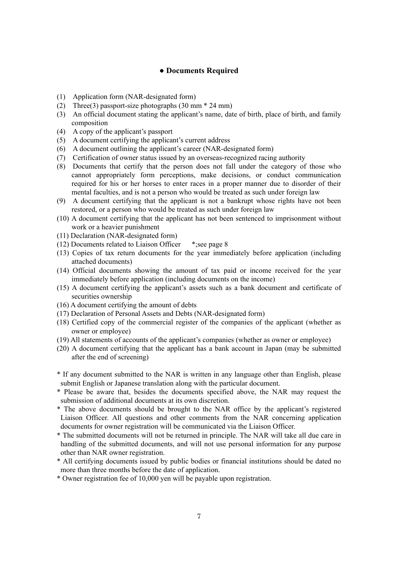#### **● Documents Required**

- (1) Application form (NAR-designated form)
- (2) Three(3) passport-size photographs (30 mm \* 24 mm)
- (3) An official document stating the applicant's name, date of birth, place of birth, and family composition
- (4) A copy of the applicant's passport
- (5) A document certifying the applicant's current address
- (6) A document outlining the applicant's career (NAR-designated form)
- (7) Certification of owner status issued by an overseas-recognized racing authority
- (8) Documents that certify that the person does not fall under the category of those who cannot appropriately form perceptions, make decisions, or conduct communication required for his or her horses to enter races in a proper manner due to disorder of their mental faculties, and is not a person who would be treated as such under foreign law
- (9) A document certifying that the applicant is not a bankrupt whose rights have not been restored, or a person who would be treated as such under foreign law
- (10) A document certifying that the applicant has not been sentenced to imprisonment without work or a heavier punishment
- (11) Declaration (NAR-designated form)
- (12) Documents related to Liaison Officer \*;see page 8
- (13) Copies of tax return documents for the year immediately before application (including attached documents)
- (14) Official documents showing the amount of tax paid or income received for the year immediately before application (including documents on the income)
- (15) A document certifying the applicant's assets such as a bank document and certificate of securities ownership
- (16) A document certifying the amount of debts
- (17) Declaration of Personal Assets and Debts (NAR-designated form)
- (18) Certified copy of the commercial register of the companies of the applicant (whether as owner or employee)
- (19) All statements of accounts of the applicant's companies (whether as owner or employee)
- (20) A document certifying that the applicant has a bank account in Japan (may be submitted after the end of screening)
- \* If any document submitted to the NAR is written in any language other than English, please submit English or Japanese translation along with the particular document.
- \* Please be aware that, besides the documents specified above, the NAR may request the submission of additional documents at its own discretion.
- \* The above documents should be brought to the NAR office by the applicant's registered Liaison Officer. All questions and other comments from the NAR concerning application documents for owner registration will be communicated via the Liaison Officer.
- \* The submitted documents will not be returned in principle. The NAR will take all due care in handling of the submitted documents, and will not use personal information for any purpose other than NAR owner registration.
- \* All certifying documents issued by public bodies or financial institutions should be dated no more than three months before the date of application.
- \* Owner registration fee of 10,000 yen will be payable upon registration.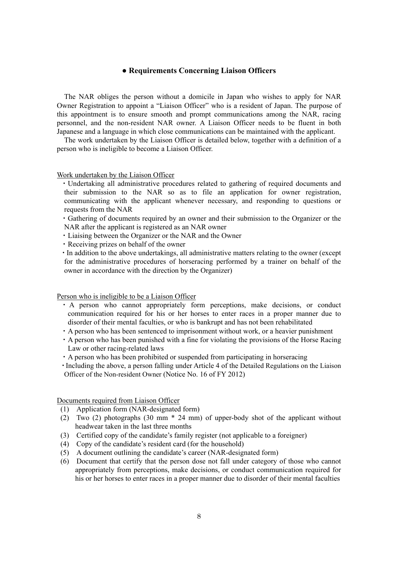#### **● Requirements Concerning Liaison Officers**

The NAR obliges the person without a domicile in Japan who wishes to apply for NAR Owner Registration to appoint a "Liaison Officer" who is a resident of Japan. The purpose of this appointment is to ensure smooth and prompt communications among the NAR, racing personnel, and the non-resident NAR owner. A Liaison Officer needs to be fluent in both Japanese and a language in which close communications can be maintained with the applicant.

The work undertaken by the Liaison Officer is detailed below, together with a definition of a person who is ineligible to become a Liaison Officer.

#### Work undertaken by the Liaison Officer

- ・Undertaking all administrative procedures related to gathering of required documents and their submission to the NAR so as to file an application for owner registration, communicating with the applicant whenever necessary, and responding to questions or requests from the NAR
- ・Gathering of documents required by an owner and their submission to the Organizer or the NAR after the applicant is registered as an NAR owner
- ・Liaising between the Organizer or the NAR and the Owner
- ・Receiving prizes on behalf of the owner

・In addition to the above undertakings, all administrative matters relating to the owner (except for the administrative procedures of horseracing performed by a trainer on behalf of the owner in accordance with the direction by the Organizer)

Person who is ineligible to be a Liaison Officer

- ・ A person who cannot appropriately form perceptions, make decisions, or conduct communication required for his or her horses to enter races in a proper manner due to disorder of their mental faculties, or who is bankrupt and has not been rehabilitated
- ・A person who has been sentenced to imprisonment without work, or a heavier punishment
- ・A person who has been punished with a fine for violating the provisions of the Horse Racing Law or other racing-related laws
- ・A person who has been prohibited or suspended from participating in horseracing
- ・Including the above, a person falling under Article 4 of the Detailed Regulations on the Liaison Officer of the Non-resident Owner (Notice No. 16 of FY 2012)

Documents required from Liaison Officer

- (1) Application form (NAR-designated form)
- (2) Two (2) photographs (30 mm \* 24 mm) of upper-body shot of the applicant without headwear taken in the last three months
- (3) Certified copy of the candidate's family register (not applicable to a foreigner)
- (4) Copy of the candidate's resident card (for the household)
- (5) A document outlining the candidate's career (NAR-designated form)
- (6) Document that certify that the person dose not fall under category of those who cannot appropriately from perceptions, make decisions, or conduct communication required for his or her horses to enter races in a proper manner due to disorder of their mental faculties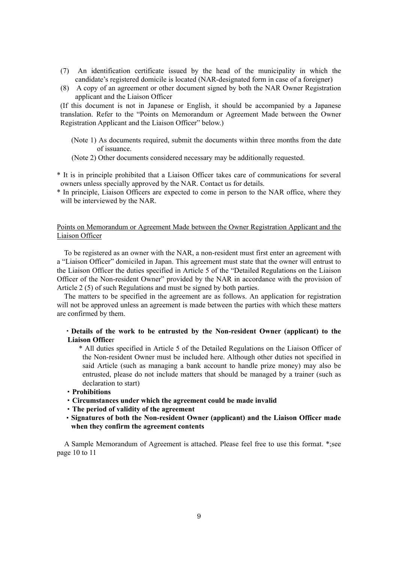- (7) An identification certificate issued by the head of the municipality in which the candidate's registered domicile is located (NAR-designated form in case of a foreigner)
- (8) A copy of an agreement or other document signed by both the NAR Owner Registration applicant and the Liaison Officer

(If this document is not in Japanese or English, it should be accompanied by a Japanese translation. Refer to the "Points on Memorandum or Agreement Made between the Owner Registration Applicant and the Liaison Officer" below.)

- (Note 1) As documents required, submit the documents within three months from the date of issuance.
- (Note 2) Other documents considered necessary may be additionally requested.
- \* It is in principle prohibited that a Liaison Officer takes care of communications for several owners unless specially approved by the NAR. Contact us for details.
- \* In principle, Liaison Officers are expected to come in person to the NAR office, where they will be interviewed by the NAR.

#### Points on Memorandum or Agreement Made between the Owner Registration Applicant and the Liaison Officer

To be registered as an owner with the NAR, a non-resident must first enter an agreement with a "Liaison Officer" domiciled in Japan. This agreement must state that the owner will entrust to the Liaison Officer the duties specified in Article 5 of the "Detailed Regulations on the Liaison Officer of the Non-resident Owner" provided by the NAR in accordance with the provision of Article 2 (5) of such Regulations and must be signed by both parties.

The matters to be specified in the agreement are as follows. An application for registration will not be approved unless an agreement is made between the parties with which these matters are confirmed by them.

- ・**Details of the work to be entrusted by the Non-resident Owner (applicant) to the Liaison Office**r
	- \* All duties specified in Article 5 of the Detailed Regulations on the Liaison Officer of the Non-resident Owner must be included here. Although other duties not specified in said Article (such as managing a bank account to handle prize money) may also be entrusted, please do not include matters that should be managed by a trainer (such as declaration to start)
- ・**Prohibitions**
- ・**Circumstances under which the agreement could be made invalid**
- ・**The period of validity of the agreement**
- ・**Signatures of both the Non-resident Owner (applicant) and the Liaison Officer made when they confirm the agreement contents**

A Sample Memorandum of Agreement is attached. Please feel free to use this format. \*;see page 10 to 11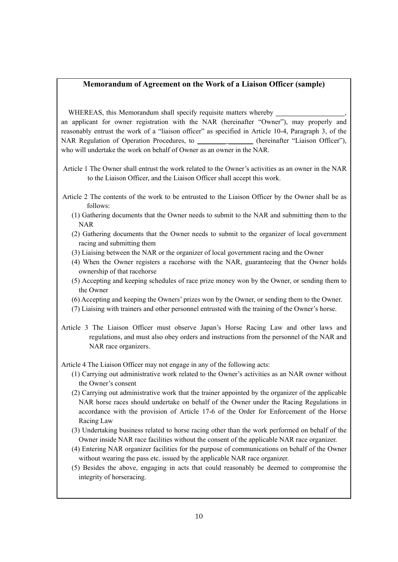#### **Memorandum of Agreement on the Work of a Liaison Officer (sample)**

WHEREAS, this Memorandum shall specify requisite matters whereby

an applicant for owner registration with the NAR (hereinafter "Owner"), may properly and reasonably entrust the work of a "liaison officer" as specified in Article 10-4, Paragraph 3, of the NAR Regulation of Operation Procedures, to \_\_\_\_\_\_\_\_\_\_\_\_\_\_ (hereinafter "Liaison Officer"), who will undertake the work on behalf of Owner as an owner in the NAR.

- Article 1 The Owner shall entrust the work related to the Owner's activities as an owner in the NAR to the Liaison Officer, and the Liaison Officer shall accept this work.
- Article 2 The contents of the work to be entrusted to the Liaison Officer by the Owner shall be as follows:
	- (1) Gathering documents that the Owner needs to submit to the NAR and submitting them to the NAR
	- (2) Gathering documents that the Owner needs to submit to the organizer of local government racing and submitting them
	- (3) Liaising between the NAR or the organizer of local government racing and the Owner
	- (4) When the Owner registers a racehorse with the NAR, guaranteeing that the Owner holds ownership of that racehorse
	- (5) Accepting and keeping schedules of race prize money won by the Owner, or sending them to the Owner
	- (6) Accepting and keeping the Owners' prizes won by the Owner, or sending them to the Owner.
	- (7) Liaising with trainers and other personnel entrusted with the training of the Owner's horse.
- Article 3 The Liaison Officer must observe Japan's Horse Racing Law and other laws and regulations, and must also obey orders and instructions from the personnel of the NAR and NAR race organizers.
- Article 4 The Liaison Officer may not engage in any of the following acts:
	- (1) Carrying out administrative work related to the Owner's activities as an NAR owner without the Owner's consent
	- (2) Carrying out administrative work that the trainer appointed by the organizer of the applicable NAR horse races should undertake on behalf of the Owner under the Racing Regulations in accordance with the provision of Article 17-6 of the Order for Enforcement of the Horse Racing Law
	- (3) Undertaking business related to horse racing other than the work performed on behalf of the Owner inside NAR race facilities without the consent of the applicable NAR race organizer.
	- (4) Entering NAR organizer facilities for the purpose of communications on behalf of the Owner without wearing the pass etc. issued by the applicable NAR race organizer.
	- (5) Besides the above, engaging in acts that could reasonably be deemed to compromise the integrity of horseracing.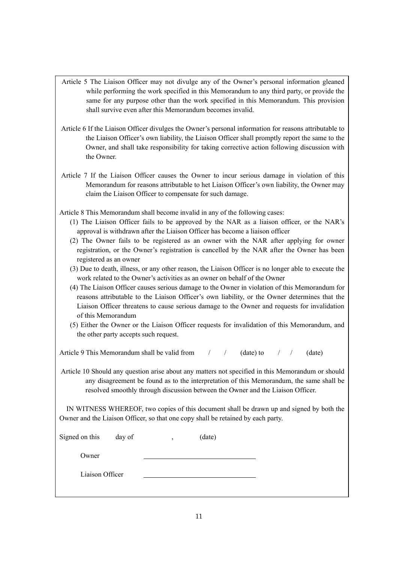- Article 5 The Liaison Officer may not divulge any of the Owner's personal information gleaned while performing the work specified in this Memorandum to any third party, or provide the same for any purpose other than the work specified in this Memorandum. This provision shall survive even after this Memorandum becomes invalid.
- Article 6 If the Liaison Officer divulges the Owner's personal information for reasons attributable to the Liaison Officer's own liability, the Liaison Officer shall promptly report the same to the Owner, and shall take responsibility for taking corrective action following discussion with the Owner.
- Article 7 If the Liaison Officer causes the Owner to incur serious damage in violation of this Memorandum for reasons attributable to het Liaison Officer's own liability, the Owner may claim the Liaison Officer to compensate for such damage.
- Article 8 This Memorandum shall become invalid in any of the following cases:
	- (1) The Liaison Officer fails to be approved by the NAR as a liaison officer, or the NAR's approval is withdrawn after the Liaison Officer has become a liaison officer
	- (2) The Owner fails to be registered as an owner with the NAR after applying for owner registration, or the Owner's registration is cancelled by the NAR after the Owner has been registered as an owner
	- (3) Due to death, illness, or any other reason, the Liaison Officer is no longer able to execute the work related to the Owner's activities as an owner on behalf of the Owner
	- (4) The Liaison Officer causes serious damage to the Owner in violation of this Memorandum for reasons attributable to the Liaison Officer's own liability, or the Owner determines that the Liaison Officer threatens to cause serious damage to the Owner and requests for invalidation of this Memorandum
	- (5) Either the Owner or the Liaison Officer requests for invalidation of this Memorandum, and the other party accepts such request.

| Article 9 This Memorandum shall be valid from $/$ / (date) to $/$ / (date) |  |  |  |  |  |  |
|----------------------------------------------------------------------------|--|--|--|--|--|--|
|----------------------------------------------------------------------------|--|--|--|--|--|--|

Article 10 Should any question arise about any matters not specified in this Memorandum or should any disagreement be found as to the interpretation of this Memorandum, the same shall be resolved smoothly through discussion between the Owner and the Liaison Officer.

IN WITNESS WHEREOF, two copies of this document shall be drawn up and signed by both the Owner and the Liaison Officer, so that one copy shall be retained by each party.

| Signed on this<br>day of | (date)<br>$\overline{ }$ |
|--------------------------|--------------------------|
| Owner                    |                          |
| Liaison Officer          |                          |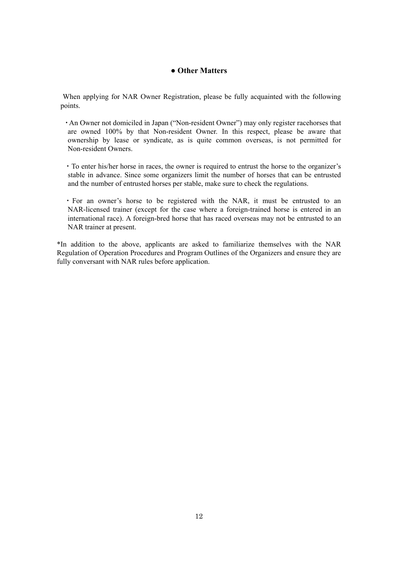# **● Other Matters**

When applying for NAR Owner Registration, please be fully acquainted with the following points.

- ・An Owner not domiciled in Japan ("Non-resident Owner") may only register racehorses that are owned 100% by that Non-resident Owner. In this respect, please be aware that ownership by lease or syndicate, as is quite common overseas, is not permitted for Non-resident Owners.
- ・To enter his/her horse in races, the owner is required to entrust the horse to the organizer's stable in advance. Since some organizers limit the number of horses that can be entrusted and the number of entrusted horses per stable, make sure to check the regulations.
- ・For an owner's horse to be registered with the NAR, it must be entrusted to an NAR-licensed trainer (except for the case where a foreign-trained horse is entered in an international race). A foreign-bred horse that has raced overseas may not be entrusted to an NAR trainer at present.

\*In addition to the above, applicants are asked to familiarize themselves with the NAR Regulation of Operation Procedures and Program Outlines of the Organizers and ensure they are fully conversant with NAR rules before application.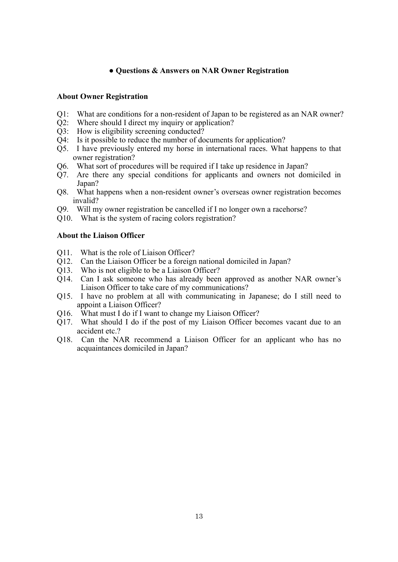### **● Questions & Answers on NAR Owner Registration**

#### **About Owner Registration**

- Q1: What are conditions for a non-resident of Japan to be registered as an NAR owner?
- Q2: Where should I direct my inquiry or application?
- Q3: How is eligibility screening conducted?
- Q4: Is it possible to reduce the number of documents for application?
- Q5. I have previously entered my horse in international races. What happens to that owner registration?
- Q6. What sort of procedures will be required if I take up residence in Japan?
- Q7. Are there any special conditions for applicants and owners not domiciled in Japan?
- Q8. What happens when a non-resident owner's overseas owner registration becomes invalid?
- Q9. Will my owner registration be cancelled if I no longer own a racehorse?
- Q10. What is the system of racing colors registration?

#### **About the Liaison Officer**

- Q11. What is the role of Liaison Officer?
- Q12. Can the Liaison Officer be a foreign national domiciled in Japan?
- Q13. Who is not eligible to be a Liaison Officer?
- Q14. Can I ask someone who has already been approved as another NAR owner's Liaison Officer to take care of my communications?
- Q15. I have no problem at all with communicating in Japanese; do I still need to appoint a Liaison Officer?
- Q16. What must I do if I want to change my Liaison Officer?
- Q17. What should I do if the post of my Liaison Officer becomes vacant due to an accident etc.?
- Q18. Can the NAR recommend a Liaison Officer for an applicant who has no acquaintances domiciled in Japan?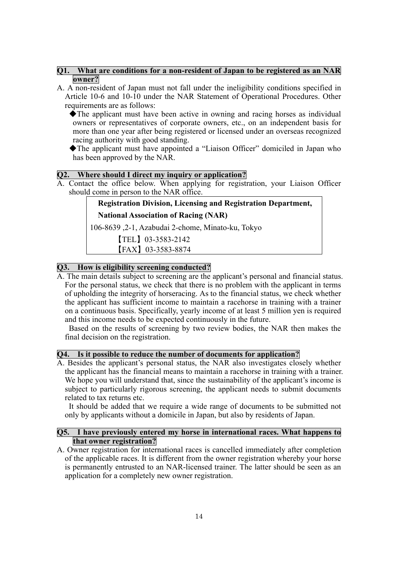### **Q1. What are conditions for a non-resident of Japan to be registered as an NAR owner?**

A. A non-resident of Japan must not fall under the ineligibility conditions specified in Article 10-6 and 10-10 under the NAR Statement of Operational Procedures. Other requirements are as follows:

◆The applicant must have been active in owning and racing horses as individual owners or representatives of corporate owners, etc., on an independent basis for more than one year after being registered or licensed under an overseas recognized racing authority with good standing.

◆The applicant must have appointed a "Liaison Officer" domiciled in Japan who has been approved by the NAR.

## **Q2. Where should I direct my inquiry or application?**

A. Contact the office below. When applying for registration, your Liaison Officer should come in person to the NAR office.

# **Registration Division, Licensing and Registration Department,**

**National Association of Racing (NAR)** 

106-8639 ,2-1, Azabudai 2-chome, Minato-ku, Tokyo

【TEL】03-3583-2142

【FAX】03-3583-8874

# **Q3. How is eligibility screening conducted?**

A. The main details subject to screening are the applicant's personal and financial status. For the personal status, we check that there is no problem with the applicant in terms of upholding the integrity of horseracing. As to the financial status, we check whether the applicant has sufficient income to maintain a racehorse in training with a trainer on a continuous basis. Specifically, yearly income of at least 5 million yen is required and this income needs to be expected continuously in the future.

Based on the results of screening by two review bodies, the NAR then makes the final decision on the registration.

## **Q4. Is it possible to reduce the number of documents for application?**

A. Besides the applicant's personal status, the NAR also investigates closely whether the applicant has the financial means to maintain a racehorse in training with a trainer. We hope you will understand that, since the sustainability of the applicant's income is subject to particularly rigorous screening, the applicant needs to submit documents related to tax returns etc.

It should be added that we require a wide range of documents to be submitted not only by applicants without a domicile in Japan, but also by residents of Japan.

### **Q5. I have previously entered my horse in international races. What happens to that owner registration?**

A. Owner registration for international races is cancelled immediately after completion of the applicable races. It is different from the owner registration whereby your horse is permanently entrusted to an NAR-licensed trainer. The latter should be seen as an application for a completely new owner registration.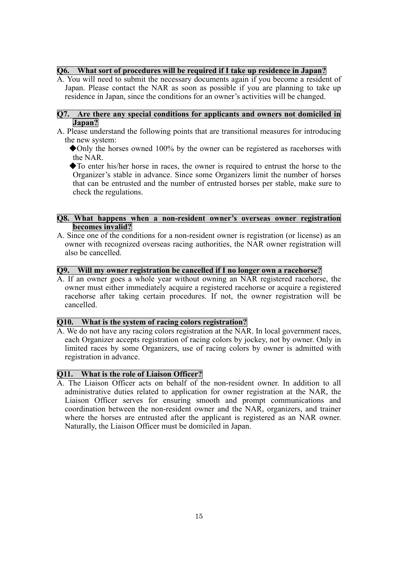## **Q6. What sort of procedures will be required if I take up residence in Japan?**

A. You will need to submit the necessary documents again if you become a resident of Japan. Please contact the NAR as soon as possible if you are planning to take up residence in Japan, since the conditions for an owner's activities will be changed.

# **Q7. Are there any special conditions for applicants and owners not domiciled in Japan?**

- A. Please understand the following points that are transitional measures for introducing the new system:
	- ◆Only the horses owned 100% by the owner can be registered as racehorses with the NAR.
	- ◆To enter his/her horse in races, the owner is required to entrust the horse to the Organizer's stable in advance. Since some Organizers limit the number of horses that can be entrusted and the number of entrusted horses per stable, make sure to check the regulations.

### **Q8. What happens when a non-resident owner's overseas owner registration becomes invalid?**

A. Since one of the conditions for a non-resident owner is registration (or license) as an owner with recognized overseas racing authorities, the NAR owner registration will also be cancelled.

#### **Q9. Will my owner registration be cancelled if I no longer own a racehorse?**

A. If an owner goes a whole year without owning an NAR registered racehorse, the owner must either immediately acquire a registered racehorse or acquire a registered racehorse after taking certain procedures. If not, the owner registration will be cancelled.

## **Q10. What is the system of racing colors registration?**

A. We do not have any racing colors registration at the NAR. In local government races, each Organizer accepts registration of racing colors by jockey, not by owner. Only in limited races by some Organizers, use of racing colors by owner is admitted with registration in advance.

# **Q11. What is the role of Liaison Officer?**

A. The Liaison Officer acts on behalf of the non-resident owner. In addition to all administrative duties related to application for owner registration at the NAR, the Liaison Officer serves for ensuring smooth and prompt communications and coordination between the non-resident owner and the NAR, organizers, and trainer where the horses are entrusted after the applicant is registered as an NAR owner. Naturally, the Liaison Officer must be domiciled in Japan.